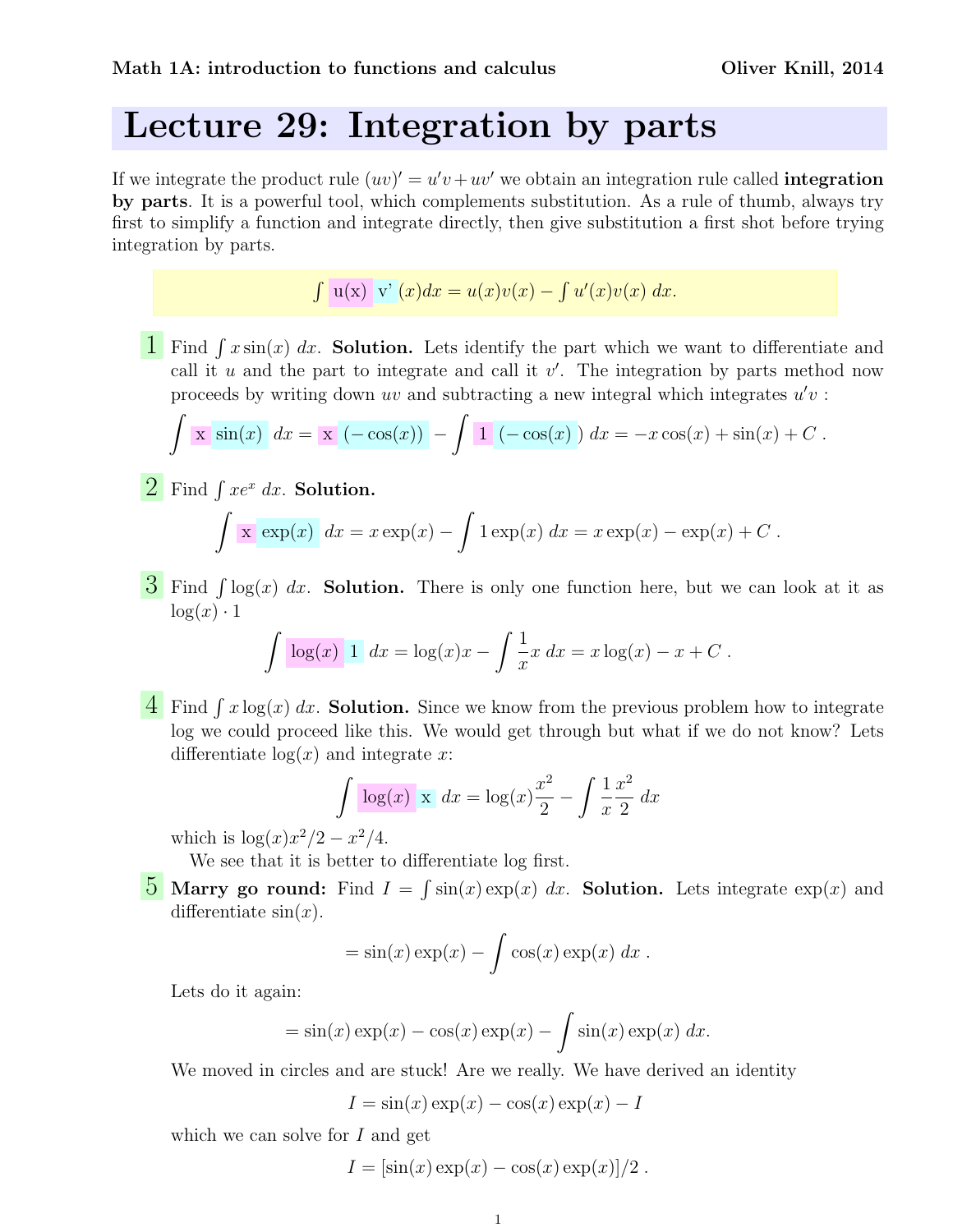## Lecture 29: Integration by parts

If we integrate the product rule  $(uv)' = u'v + uv'$  we obtain an integration rule called **integration** by parts. It is a powerful tool, which complements substitution. As a rule of thumb, always try first to simplify a function and integrate directly, then give substitution a first shot before trying integration by parts.

 $\int u(x) v'(x) dx = u(x)v(x) - \int u'(x)v(x) dx.$ 

**1** Find  $\int x \sin(x) dx$ . **Solution.** Lets identify the part which we want to differentiate and call it  $u$  and the part to integrate and call it  $v'$ . The integration by parts method now proceeds by writing down uv and subtracting a new integral which integrates  $u'v$ :

$$
\int \mathbf{x} \sin(x) dx = \mathbf{x} \left[ (-\cos(x)) \right] - \int 1 (-\cos(x)) dx = -x \cos(x) + \sin(x) + C.
$$

 $2 \t \text{Find} \int xe^x dx$ . Solution.

$$
\int \mathbf{x} \exp(x) dx = x \exp(x) - \int 1 \exp(x) dx = x \exp(x) - \exp(x) + C.
$$

 $\overline{3}$  Find  $\int \log(x) dx$ . Solution. There is only one function here, but we can look at it as  $\log(x) \cdot 1$ 

$$
\int \log(x) \, 1 \, dx = \log(x) x - \int \frac{1}{x} x \, dx = x \log(x) - x + C \, .
$$

 $\frac{4}{\sqrt{2}}$  Find  $\int x \log(x) dx$ . **Solution.** Since we know from the previous problem how to integrate log we could proceed like this. We would get through but what if we do not know? Lets differentiate  $log(x)$  and integrate x:

$$
\int \frac{\log(x)}{x} \, dx = \log(x) \frac{x^2}{2} - \int \frac{1}{x} \frac{x^2}{2} \, dx
$$

which is  $\log(x) x^2/2 - x^2/4$ .

We see that it is better to differentiate log first.

**5** Marry go round: Find  $I = \int \sin(x) \exp(x) dx$ . Solution. Lets integrate  $\exp(x)$  and differentiate  $sin(x)$ .

$$
= \sin(x) \exp(x) - \int \cos(x) \exp(x) dx.
$$

Lets do it again:

$$
= \sin(x) \exp(x) - \cos(x) \exp(x) - \int \sin(x) \exp(x) dx.
$$

We moved in circles and are stuck! Are we really. We have derived an identity

$$
I = \sin(x)\exp(x) - \cos(x)\exp(x) - I
$$

which we can solve for  $I$  and get

$$
I = [\sin(x) \exp(x) - \cos(x) \exp(x)]/2.
$$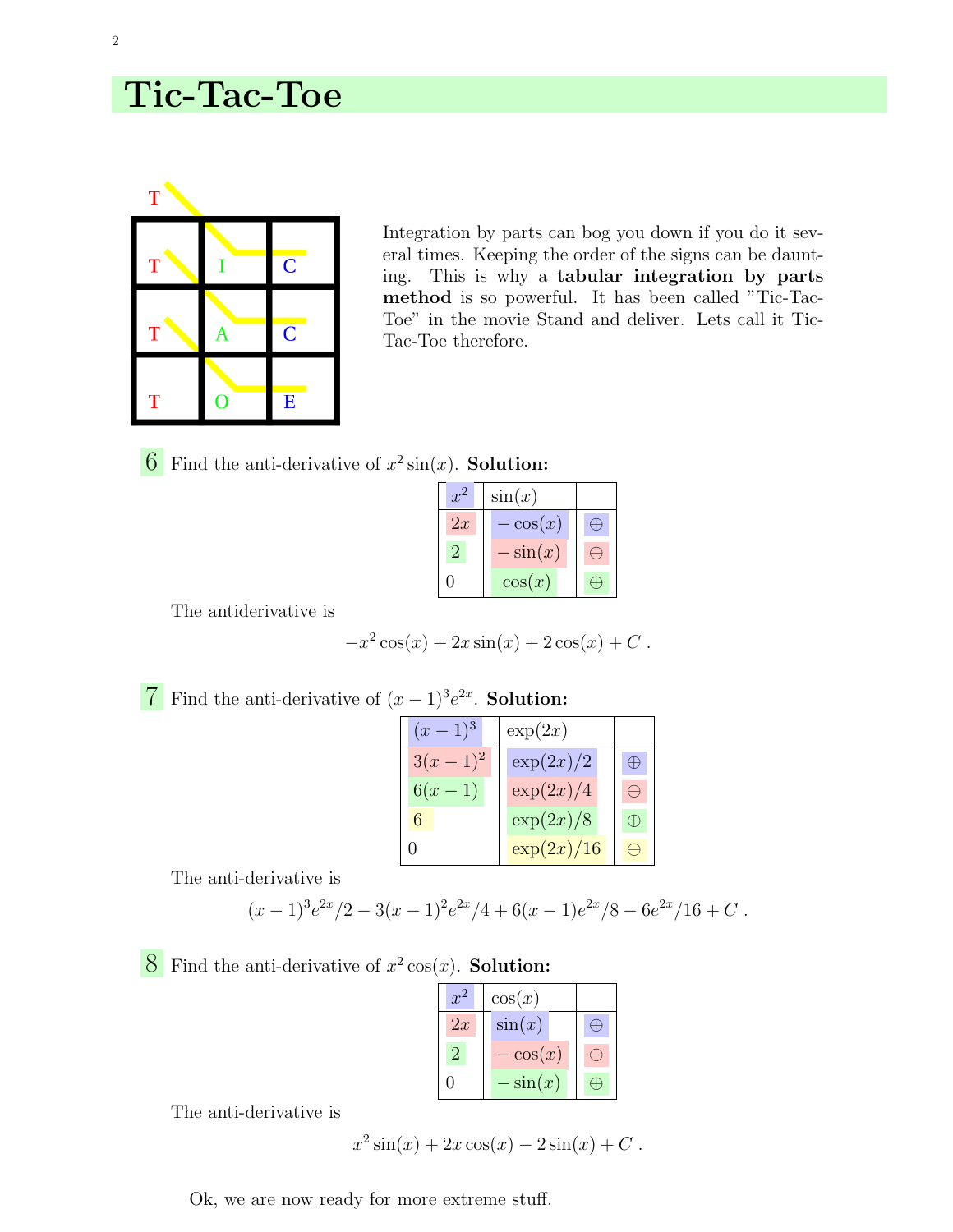## Tic-Tac-Toe



Integration by parts can bog you down if you do it several times. Keeping the order of the signs can be daunting. This is why a tabular integration by parts method is so powerful. It has been called "Tic-Tac-Toe" in the movie Stand and deliver. Lets call it Tic-Tac-Toe therefore.

 $\overline{6}$  Find the anti-derivative of  $x^2 \sin(x)$ . **Solution:** 

| $x^2$         | $\sin(x)$  |  |
|---------------|------------|--|
| 2x            | $-\cos(x)$ |  |
| $\mathcal{D}$ | $-\sin(x)$ |  |
|               | $\cos(x)$  |  |

The antiderivative is

$$
-x^2\cos(x) + 2x\sin(x) + 2\cos(x) + C.
$$

| Find the anti-derivative of $(x-1)^3 e^{2x}$ . Solution: |                           |               |             |  |  |
|----------------------------------------------------------|---------------------------|---------------|-------------|--|--|
|                                                          | $(x-1)^3$                 | $\exp(2x)$    |             |  |  |
|                                                          | $\frac{3(x-1)^2}{6(x-1)}$ | $\exp(2x)/2$  | $\bigoplus$ |  |  |
|                                                          |                           | $\exp(2x)/4$  |             |  |  |
|                                                          |                           | $\exp(2x)/8$  | $\bigoplus$ |  |  |
|                                                          |                           | $\exp(2x)/16$ |             |  |  |

The anti-derivative is

$$
(x-1)^3 e^{2x}/2 - 3(x-1)^2 e^{2x}/4 + 6(x-1)e^{2x}/8 - 6e^{2x}/16 + C.
$$

**8** Find the anti-derivative of  $x^2 \cos(x)$ . **Solution:** 

| $x^2$          | $\cos(x)$  |  |
|----------------|------------|--|
| 2x             | $\sin(x)$  |  |
| $\overline{2}$ | $-\cos(x)$ |  |
| 0              | $-\sin(x)$ |  |

The anti-derivative is

$$
x^2 \sin(x) + 2x \cos(x) - 2\sin(x) + C
$$
.

Ok, we are now ready for more extreme stuff.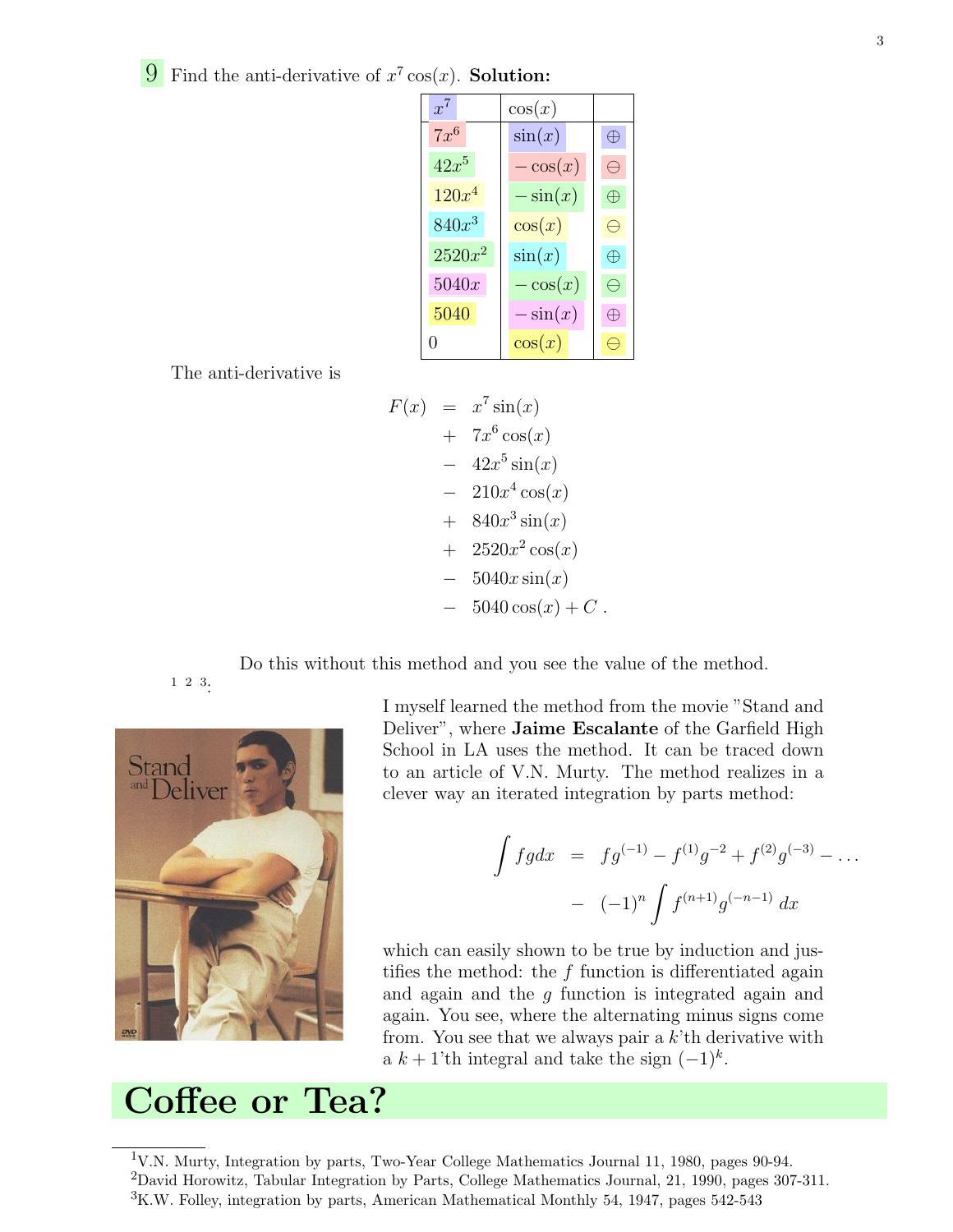**9** Find the anti-derivative of  $x^7 \cos(x)$ . **Solution:** 

| $x^7$            | $\cos(x)$  |   |
|------------------|------------|---|
| $7x^6$           | sin(x)     |   |
| $42x^5$          | $-\cos(x)$ |   |
| $120x^4$         | $-\sin(x)$ |   |
| $840x^3$         | $\cos(x)$  |   |
| $2520x^2$        | $\sin(x)$  | Ŧ |
| 5040x            | $-\cos(x)$ |   |
| 5040             | $-\sin(x)$ |   |
| $\left( \right)$ | $\cos(x)$  |   |

The anti-derivative is

$$
F(x) = x^{7} \sin(x)
$$
  
+  $7x^{6} \cos(x)$   
-  $42x^{5} \sin(x)$   
-  $210x^{4} \cos(x)$   
+  $840x^{3} \sin(x)$   
+  $2520x^{2} \cos(x)$   
-  $5040x \sin(x)$   
-  $5040 \cos(x) + C$ .

Do this without this method and you see the value of the method.

1 2 3:



I myself learned the method from the movie "Stand and Deliver", where Jaime Escalante of the Garfield High School in LA uses the method. It can be traced down to an article of V.N. Murty. The method realizes in a clever way an iterated integration by parts method:

$$
\int f g dx = f g^{(-1)} - f^{(1)} g^{-2} + f^{(2)} g^{(-3)} - \dots
$$

$$
- (-1)^n \int f^{(n+1)} g^{(-n-1)} dx
$$

which can easily shown to be true by induction and justifies the method: the  $f$  function is differentiated again and again and the  $q$  function is integrated again and again. You see, where the alternating minus signs come from. You see that we always pair a  $k$ 'th derivative with a  $k + 1$ 'th integral and take the sign  $(-1)^k$ .

## Coffee or Tea?

<sup>1</sup>V.N. Murty, Integration by parts, Two-Year College Mathematics Journal 11, 1980, pages 90-94. <sup>2</sup>David Horowitz, Tabular Integration by Parts, College Mathematics Journal, 21, 1990, pages 307-311. <sup>3</sup>K.W. Folley, integration by parts, American Mathematical Monthly 54, 1947, pages 542-543